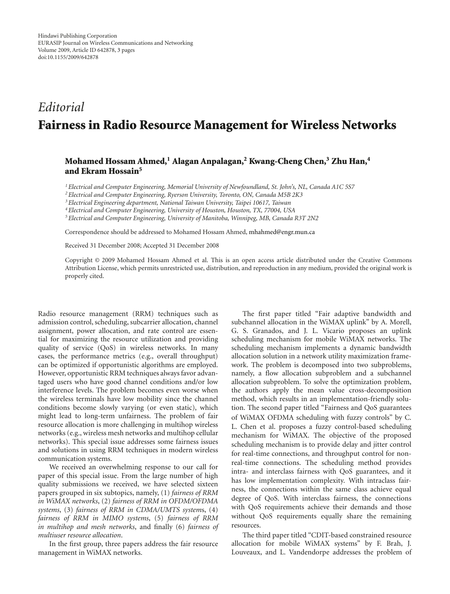## *Editorial* **Fairness in Radio Resource Management for Wireless Networks**

## **Mohamed Hossam Ahmed,1 Alagan Anpalagan,2 Kwang-Cheng Chen,3 Zhu Han,4 and Ekram Hossain5**

*1Electrical and Computer Engineering, Memorial University of Newfoundland, St. John's, NL, Canada A1C 5S7*

*2Electrical and Computer Engineering, Ryerson University, Toronto, ON, Canada M5B 2K3*

*3Electrical Engineering department, National Taiwan University, Taipei 10617, Taiwan*

*4Electrical and Computer Engineering, University of Houston, Houston, TX, 77004, USA*

*5Electrical and Computer Engineering, University of Manitoba, Winnipeg, MB, Canada R3T 2N2*

Correspondence should be addressed to Mohamed Hossam Ahmed, mhahmed@engr.mun.ca

Received 31 December 2008; Accepted 31 December 2008

Copyright © 2009 Mohamed Hossam Ahmed et al. This is an open access article distributed under the Creative Commons Attribution License, which permits unrestricted use, distribution, and reproduction in any medium, provided the original work is properly cited.

Radio resource management (RRM) techniques such as admission control, scheduling, subcarrier allocation, channel assignment, power allocation, and rate control are essential for maximizing the resource utilization and providing quality of service (QoS) in wireless networks. In many cases, the performance metrics (e.g., overall throughput) can be optimized if opportunistic algorithms are employed. However, opportunistic RRM techniques always favor advantaged users who have good channel conditions and/or low interference levels. The problem becomes even worse when the wireless terminals have low mobility since the channel conditions become slowly varying (or even static), which might lead to long-term unfairness. The problem of fair resource allocation is more challenging in multihop wireless networks (e.g., wireless mesh networks and multihop cellular networks). This special issue addresses some fairness issues and solutions in using RRM techniques in modern wireless communication systems.

We received an overwhelming response to our call for paper of this special issue. From the large number of high quality submissions we received, we have selected sixteen papers grouped in six subtopics, namely, (1) *fairness of RRM in WiMAX networks*, (2) *fairness of RRM in OFDM/OFDMA systems*, (3) *fairness of RRM in CDMA/UMTS system*s, (4) *fairness of RRM in MIMO systems*, (5) *fairness of RRM in multihop and mesh networks*, and finally (6) *fairness of multiuser resource allocation*.

In the first group, three papers address the fair resource management in WiMAX networks.

The first paper titled "Fair adaptive bandwidth and subchannel allocation in the WiMAX uplink" by A. Morell, G. S. Granados, and J. L. Vicario proposes an uplink scheduling mechanism for mobile WiMAX networks. The scheduling mechanism implements a dynamic bandwidth allocation solution in a network utility maximization framework. The problem is decomposed into two subproblems, namely, a flow allocation subproblem and a subchannel allocation subproblem. To solve the optimization problem, the authors apply the mean value cross-decomposition method, which results in an implementation-friendly solution. The second paper titled "Fairness and QoS guarantees of WiMAX OFDMA scheduling with fuzzy controls" by C. L. Chen et al. proposes a fuzzy control-based scheduling mechanism for WiMAX. The objective of the proposed scheduling mechanism is to provide delay and jitter control for real-time connections, and throughput control for nonreal-time connections. The scheduling method provides intra- and interclass fairness with QoS guarantees, and it has low implementation complexity. With intraclass fairness, the connections within the same class achieve equal degree of QoS. With interclass fairness, the connections with QoS requirements achieve their demands and those without QoS requirements equally share the remaining resources.

The third paper titled "CDIT-based constrained resource allocation for mobile WiMAX systems" by F. Brah, J. Louveaux, and L. Vandendorpe addresses the problem of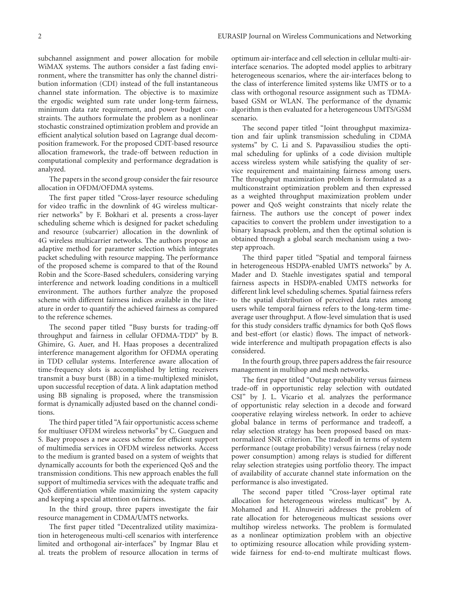subchannel assignment and power allocation for mobile WiMAX systems. The authors consider a fast fading environment, where the transmitter has only the channel distribution information (CDI) instead of the full instantaneous channel state information. The objective is to maximize the ergodic weighted sum rate under long-term fairness, minimum data rate requirement, and power budget constraints. The authors formulate the problem as a nonlinear stochastic constrained optimization problem and provide an efficient analytical solution based on Lagrange dual decomposition framework. For the proposed CDIT-based resource allocation framework, the trade-off between reduction in computational complexity and performance degradation is analyzed.

The papers in the second group consider the fair resource allocation in OFDM/OFDMA systems.

The first paper titled "Cross-layer resource scheduling for video traffic in the downlink of 4G wireless multicarrier networks" by F. Bokhari et al. presents a cross-layer scheduling scheme which is designed for packet scheduling and resource (subcarrier) allocation in the downlink of 4G wireless multicarrier networks. The authors propose an adaptive method for parameter selection which integrates packet scheduling with resource mapping. The performance of the proposed scheme is compared to that of the Round Robin and the Score-Based schedulers, considering varying interference and network loading conditions in a multicell environment. The authors further analyze the proposed scheme with different fairness indices available in the literature in order to quantify the achieved fairness as compared to the reference schemes.

The second paper titled "Busy bursts for trading-off throughput and fairness in cellular OFDMA-TDD" by B. Ghimire, G. Auer, and H. Haas proposes a decentralized interference management algorithm for OFDMA operating in TDD cellular systems. Interference aware allocation of time-frequency slots is accomplished by letting receivers transmit a busy burst (BB) in a time-multiplexed minislot, upon successful reception of data. A link adaptation method using BB signaling is proposed, where the transmission format is dynamically adjusted based on the channel conditions.

The third paper titled "A fair opportunistic access scheme for multiuser OFDM wireless networks" by C. Gueguen and S. Baey proposes a new access scheme for efficient support of multimedia services in OFDM wireless networks. Access to the medium is granted based on a system of weights that dynamically accounts for both the experienced QoS and the transmission conditions. This new approach enables the full support of multimedia services with the adequate traffic and QoS differentiation while maximizing the system capacity and keeping a special attention on fairness.

In the third group, three papers investigate the fair resource management in CDMA/UMTS networks.

The first paper titled "Decentralized utility maximization in heterogeneous multi-cell scenarios with interference limited and orthogonal air-interfaces" by Ingmar Blau et al. treats the problem of resource allocation in terms of

optimum air-interface and cell selection in cellular multi-airinterface scenarios. The adopted model applies to arbitrary heterogeneous scenarios, where the air-interfaces belong to the class of interference limited systems like UMTS or to a class with orthogonal resource assignment such as TDMAbased GSM or WLAN. The performance of the dynamic algorithm is then evaluated for a heterogeneous UMTS/GSM scenario.

The second paper titled "Joint throughput maximization and fair uplink transmission scheduling in CDMA systems" by C. Li and S. Papavassiliou studies the optimal scheduling for uplinks of a code division multiple access wireless system while satisfying the quality of service requirement and maintaining fairness among users. The throughput maximization problem is formulated as a multiconstraint optimization problem and then expressed as a weighted throughput maximization problem under power and QoS weight constraints that nicely relate the fairness. The authors use the concept of power index capacities to convert the problem under investigation to a binary knapsack problem, and then the optimal solution is obtained through a global search mechanism using a twostep approach.

The third paper titled "Spatial and temporal fairness in heterogeneous HSDPA-enabled UMTS networks" by A. Mader and D. Staehle investigates spatial and temporal fairness aspects in HSDPA-enabled UMTS networks for different link level scheduling schemes. Spatial fairness refers to the spatial distribution of perceived data rates among users while temporal fairness refers to the long-term timeaverage user throughput. A flow-level simulation that is used for this study considers traffic dynamics for both QoS flows and best-effort (or elastic) flows. The impact of networkwide interference and multipath propagation effects is also considered.

In the fourth group, three papers address the fair resource management in multihop and mesh networks.

The first paper titled "Outage probability versus fairness trade-off in opportunistic relay selection with outdated CSI" by J. L. Vicario et al. analyzes the performance of opportunistic relay selection in a decode and forward cooperative relaying wireless network. In order to achieve global balance in terms of performance and tradeoff, a relay selection strategy has been proposed based on maxnormalized SNR criterion. The tradeoff in terms of system performance (outage probability) versus fairness (relay node power consumption) among relays is studied for different relay selection strategies using portfolio theory. The impact of availability of accurate channel state information on the performance is also investigated.

The second paper titled "Cross-layer optimal rate allocation for heterogeneous wireless multicast" by A. Mohamed and H. Alnuweiri addresses the problem of rate allocation for heterogeneous multicast sessions over multihop wireless networks. The problem is formulated as a nonlinear optimization problem with an objective to optimizing resource allocation while providing systemwide fairness for end-to-end multirate multicast flows.